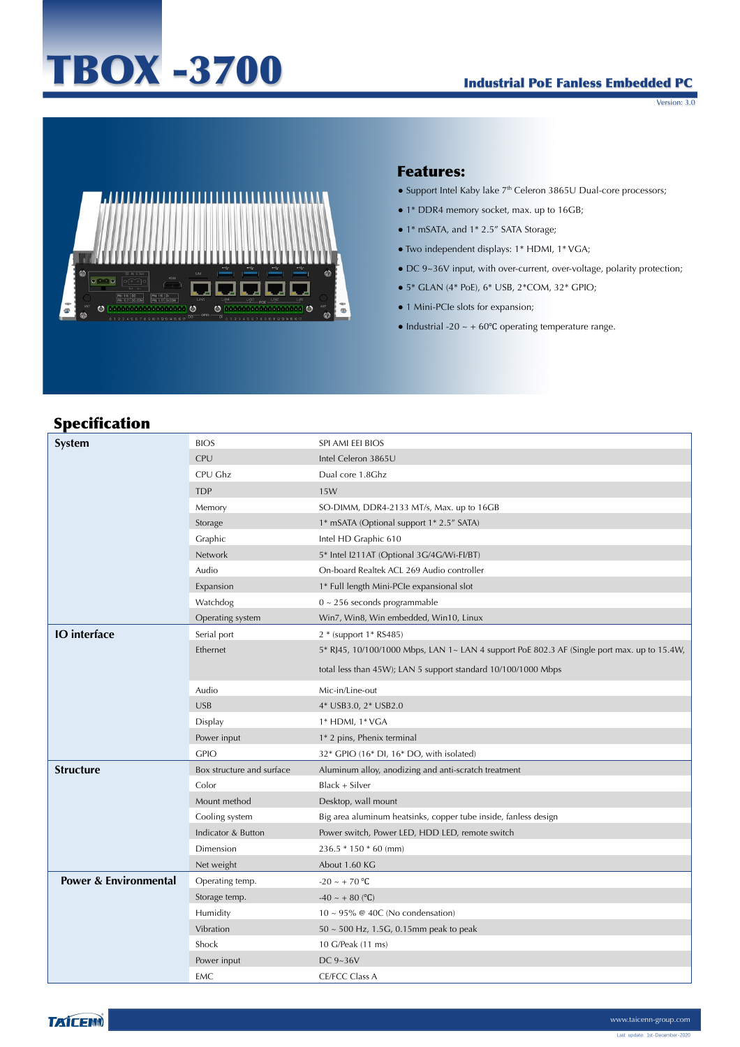# TBOX -3700

#### Industrial PoE Fanless Embedded PC

Version: 3.0



#### Features:

- Support Intel Kaby lake 7<sup>th</sup> Celeron 3865U Dual-core processors;
- 1\* DDR4 memory socket, max. up to 16GB;
- 1\* mSATA, and 1\* 2.5" SATA Storage;
- Two independent displays: 1\* HDMI, 1\* VGA;
- DC 9~36V input, with over-current, over-voltage, polarity protection;
- 5\* GLAN (4\* PoE), 6\* USB, 2\*COM, 32\* GPIO;
- 1 Mini-PCIe slots for expansion;
- Industrial -20  $\sim$  + 60°C operating temperature range.

# Specification

| specintation                     |                           |                                                                                             |
|----------------------------------|---------------------------|---------------------------------------------------------------------------------------------|
| <b>System</b>                    | <b>BIOS</b>               | SPI AMI EEI BIOS                                                                            |
|                                  | CPU                       | Intel Celeron 3865U                                                                         |
|                                  | CPU Ghz                   | Dual core 1.8Ghz                                                                            |
|                                  | <b>TDP</b>                | 15W                                                                                         |
|                                  | Memory                    | SO-DIMM, DDR4-2133 MT/s, Max. up to 16GB                                                    |
|                                  | Storage                   | 1* mSATA (Optional support 1* 2.5" SATA)                                                    |
|                                  | Graphic                   | Intel HD Graphic 610                                                                        |
|                                  | Network                   | 5* Intel I211AT (Optional 3G/4G/Wi-FI/BT)                                                   |
|                                  | Audio                     | On-board Realtek ACL 269 Audio controller                                                   |
|                                  | Expansion                 | 1* Full length Mini-PCIe expansional slot                                                   |
|                                  | Watchdog                  | $0 \sim 256$ seconds programmable                                                           |
|                                  | Operating system          | Win7, Win8, Win embedded, Win10, Linux                                                      |
| <b>IO</b> interface              | Serial port               | 2 * (support 1 * RS485)                                                                     |
|                                  | Ethernet                  | 5* RJ45, 10/100/1000 Mbps, LAN 1~ LAN 4 support PoE 802.3 AF (Single port max. up to 15.4W, |
|                                  |                           | total less than 45W); LAN 5 support standard 10/100/1000 Mbps                               |
|                                  | Audio                     | Mic-in/Line-out                                                                             |
|                                  | <b>USB</b>                | 4* USB3.0, 2* USB2.0                                                                        |
|                                  | Display                   | 1* HDMI, 1* VGA                                                                             |
|                                  | Power input               | 1* 2 pins, Phenix terminal                                                                  |
|                                  | <b>GPIO</b>               | 32* GPIO (16* DI, 16* DO, with isolated)                                                    |
| <b>Structure</b>                 | Box structure and surface | Aluminum alloy, anodizing and anti-scratch treatment                                        |
|                                  | Color                     | Black + Silver                                                                              |
|                                  | Mount method              | Desktop, wall mount                                                                         |
|                                  | Cooling system            | Big area aluminum heatsinks, copper tube inside, fanless design                             |
|                                  | Indicator & Button        | Power switch, Power LED, HDD LED, remote switch                                             |
|                                  | Dimension                 | $236.5 * 150 * 60$ (mm)                                                                     |
|                                  | Net weight                | About 1.60 KG                                                                               |
| <b>Power &amp; Environmental</b> | Operating temp.           | $-20 \sim +70$ °C                                                                           |
|                                  | Storage temp.             | $-40 \sim +80$ (°C)                                                                         |
|                                  | Humidity                  | $10 \sim 95\%$ @ 40C (No condensation)                                                      |
|                                  | Vibration                 | $50 \sim 500$ Hz, 1.5G, 0.15mm peak to peak                                                 |
|                                  | Shock                     | 10 G/Peak (11 ms)                                                                           |
|                                  | Power input               | DC 9~36V                                                                                    |
|                                  | EMC                       | <b>CE/FCC Class A</b>                                                                       |